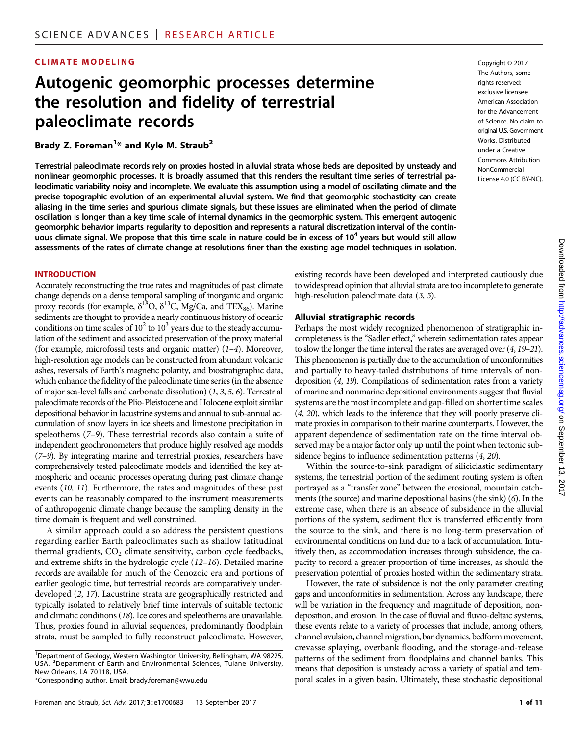# CLIMATE MODELING Copyright © 2017

# Autogenic geomorphic processes determine the resolution and fidelity of terrestrial paleoclimate records

# Brady Z. Foreman<sup>1\*</sup> and Kyle M. Straub<sup>2</sup>

Terrestrial paleoclimate records rely on proxies hosted in alluvial strata whose beds are deposited by unsteady and nonlinear geomorphic processes. It is broadly assumed that this renders the resultant time series of terrestrial paleoclimatic variability noisy and incomplete. We evaluate this assumption using a model of oscillating climate and the precise topographic evolution of an experimental alluvial system. We find that geomorphic stochasticity can create aliasing in the time series and spurious climate signals, but these issues are eliminated when the period of climate oscillation is longer than a key time scale of internal dynamics in the geomorphic system. This emergent autogenic geomorphic behavior imparts regularity to deposition and represents a natural discretization interval of the continuous climate signal. We propose that this time scale in nature could be in excess of  $10^4$  years but would still allow assessments of the rates of climate change at resolutions finer than the existing age model techniques in isolation.

#### INTRODUCTION

Accurately reconstructing the true rates and magnitudes of past climate change depends on a dense temporal sampling of inorganic and organic proxy records (for example,  $\delta^{18}O$ ,  $\delta^{13}C$ , Mg/Ca, and TEX<sub>86</sub>). Marine sediments are thought to provide a nearly continuous history of oceanic conditions on time scales of  $10^2$  to  $10^3$  years due to the steady accumulation of the sediment and associated preservation of the proxy material (for example, microfossil tests and organic matter) (1–4). Moreover, high-resolution age models can be constructed from abundant volcanic ashes, reversals of Earth's magnetic polarity, and biostratigraphic data, which enhance the fidelity of the paleoclimate time series (in the absence of major sea-level falls and carbonate dissolution) (1, 3, 5, 6). Terrestrial paleoclimate records of the Plio-Pleistocene and Holocene exploit similar depositional behavior in lacustrine systems and annual to sub-annual accumulation of snow layers in ice sheets and limestone precipitation in speleothems (7–9). These terrestrial records also contain a suite of independent geochronometers that produce highly resolved age models (7–9). By integrating marine and terrestrial proxies, researchers have comprehensively tested paleoclimate models and identified the key atmospheric and oceanic processes operating during past climate change events (10, 11). Furthermore, the rates and magnitudes of these past events can be reasonably compared to the instrument measurements of anthropogenic climate change because the sampling density in the time domain is frequent and well constrained.

A similar approach could also address the persistent questions regarding earlier Earth paleoclimates such as shallow latitudinal thermal gradients, CO<sub>2</sub> climate sensitivity, carbon cycle feedbacks, and extreme shifts in the hydrologic cycle (12–16). Detailed marine records are available for much of the Cenozoic era and portions of earlier geologic time, but terrestrial records are comparatively underdeveloped (2, 17). Lacustrine strata are geographically restricted and typically isolated to relatively brief time intervals of suitable tectonic and climatic conditions (18). Ice cores and speleothems are unavailable. Thus, proxies found in alluvial sequences, predominantly floodplain strata, must be sampled to fully reconstruct paleoclimate. However,

The Authors, some rights reserved: exclusive licensee American Association for the Advancement of Science. No claim to original U.S. Government Works. Distributed under a Creative Commons Attribution NonCommercial License 4.0 (CC BY-NC).

existing records have been developed and interpreted cautiously due to widespread opinion that alluvial strata are too incomplete to generate high-resolution paleoclimate data (3, 5).

#### Alluvial stratigraphic records

Perhaps the most widely recognized phenomenon of stratigraphic incompleteness is the "Sadler effect," wherein sedimentation rates appear to slow the longer the time interval the rates are averaged over (4, 19–21). This phenomenon is partially due to the accumulation of unconformities and partially to heavy-tailed distributions of time intervals of nondeposition (4, 19). Compilations of sedimentation rates from a variety of marine and nonmarine depositional environments suggest that fluvial systems are the most incomplete and gap-filled on shorter time scales (4, 20), which leads to the inference that they will poorly preserve climate proxies in comparison to their marine counterparts. However, the apparent dependence of sedimentation rate on the time interval observed may be a major factor only up until the point when tectonic subsidence begins to influence sedimentation patterns (4, 20).

Within the source-to-sink paradigm of siliciclastic sedimentary systems, the terrestrial portion of the sediment routing system is often portrayed as a "transfer zone" between the erosional, mountain catchments (the source) and marine depositional basins (the sink) (6). In the extreme case, when there is an absence of subsidence in the alluvial portions of the system, sediment flux is transferred efficiently from the source to the sink, and there is no long-term preservation of environmental conditions on land due to a lack of accumulation. Intuitively then, as accommodation increases through subsidence, the capacity to record a greater proportion of time increases, as should the preservation potential of proxies hosted within the sedimentary strata.

However, the rate of subsidence is not the only parameter creating gaps and unconformities in sedimentation. Across any landscape, there will be variation in the frequency and magnitude of deposition, nondeposition, and erosion. In the case of fluvial and fluvio-deltaic systems, these events relate to a variety of processes that include, among others, channel avulsion, channel migration, bar dynamics, bedform movement, crevasse splaying, overbank flooding, and the storage-and-release patterns of the sediment from floodplains and channel banks. This means that deposition is unsteady across a variety of spatial and temporal scales in a given basin. Ultimately, these stochastic depositional

<sup>&</sup>lt;sup>1</sup>Department of Geology, Western Washington University, Bellingham, WA 98225, USA. <sup>2</sup>Department of Earth and Environmental Sciences, Tulane University, New Orleans, LA 70118, USA.

<sup>\*</sup>Corresponding author. Email: brady.foreman@wwu.edu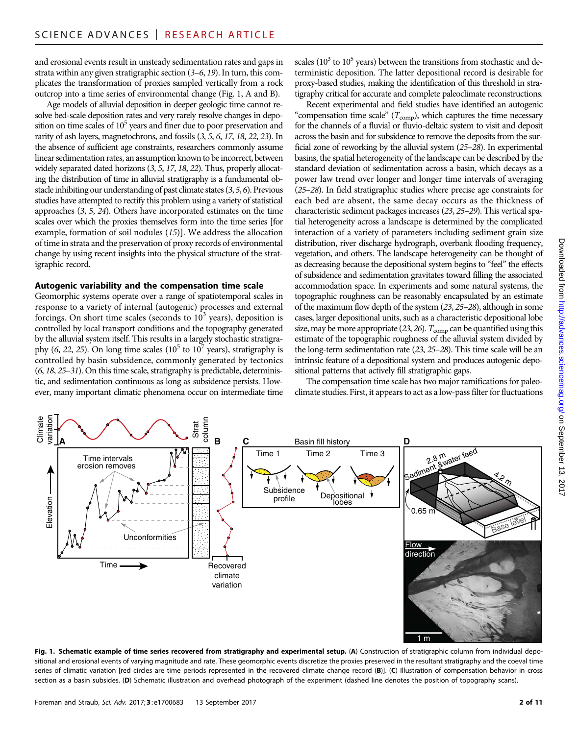and erosional events result in unsteady sedimentation rates and gaps in strata within any given stratigraphic section (3–6, 19). In turn, this complicates the transformation of proxies sampled vertically from a rock outcrop into a time series of environmental change (Fig. 1, A and B).

Age models of alluvial deposition in deeper geologic time cannot resolve bed-scale deposition rates and very rarely resolve changes in deposition on time scales of  $10<sup>5</sup>$  years and finer due to poor preservation and rarity of ash layers, magnetochrons, and fossils (3, 5, 6, 17, 18, 22, 23). In the absence of sufficient age constraints, researchers commonly assume linear sedimentation rates, an assumption known to be incorrect, between widely separated dated horizons  $(3, 5, 17, 18, 22)$ . Thus, properly allocating the distribution of time in alluvial stratigraphy is a fundamental obstacle inhibiting our understanding of past climate states (3, 5, 6). Previous studies have attempted to rectify this problem using a variety of statistical approaches (3, 5, 24). Others have incorporated estimates on the time scales over which the proxies themselves form into the time series [for example, formation of soil nodules (15)]. We address the allocation of time in strata and the preservation of proxy records of environmental change by using recent insights into the physical structure of the stratigraphic record.

### Autogenic variability and the compensation time scale

Geomorphic systems operate over a range of spatiotemporal scales in response to a variety of internal (autogenic) processes and external forcings. On short time scales (seconds to  $10<sup>3</sup>$  years), deposition is controlled by local transport conditions and the topography generated by the alluvial system itself. This results in a largely stochastic stratigraphy (6, 22, 25). On long time scales ( $10^5$  to  $10^7$  years), stratigraphy is controlled by basin subsidence, commonly generated by tectonics (6, 18, 25–31). On this time scale, stratigraphy is predictable, deterministic, and sedimentation continuous as long as subsidence persists. However, many important climatic phenomena occur on intermediate time

scales ( $10^3$  to  $10^5$  years) between the transitions from stochastic and deterministic deposition. The latter depositional record is desirable for proxy-based studies, making the identification of this threshold in stratigraphy critical for accurate and complete paleoclimate reconstructions.

Recent experimental and field studies have identified an autogenic "compensation time scale"  $(T_{\text{comp}})$ , which captures the time necessary for the channels of a fluvial or fluvio-deltaic system to visit and deposit across the basin and for subsidence to remove the deposits from the surficial zone of reworking by the alluvial system (25–28). In experimental basins, the spatial heterogeneity of the landscape can be described by the standard deviation of sedimentation across a basin, which decays as a power law trend over longer and longer time intervals of averaging (25–28). In field stratigraphic studies where precise age constraints for each bed are absent, the same decay occurs as the thickness of characteristic sediment packages increases (23, 25–29). This vertical spatial heterogeneity across a landscape is determined by the complicated interaction of a variety of parameters including sediment grain size distribution, river discharge hydrograph, overbank flooding frequency, vegetation, and others. The landscape heterogeneity can be thought of as decreasing because the depositional system begins to "feel" the effects of subsidence and sedimentation gravitates toward filling the associated accommodation space. In experiments and some natural systems, the topographic roughness can be reasonably encapsulated by an estimate of the maximum flow depth of the system (23, 25–28), although in some cases, larger depositional units, such as a characteristic depositional lobe size, may be more appropriate (23, 26).  $T_{\text{comp}}$  can be quantified using this estimate of the topographic roughness of the alluvial system divided by the long-term sedimentation rate (23, 25–28). This time scale will be an intrinsic feature of a depositional system and produces autogenic depositional patterns that actively fill stratigraphic gaps.

The compensation time scale has two major ramifications for paleoclimate studies. First, it appears to act as a low-pass filter for fluctuations



Fig. 1. Schematic example of time series recovered from stratigraphy and experimental setup. (A) Construction of stratigraphic column from individual depositional and erosional events of varying magnitude and rate. These geomorphic events discretize the proxies preserved in the resultant stratigraphy and the coeval time series of climatic variation [red circles are time periods represented in the recovered climate change record (B)]. (C) Illustration of compensation behavior in cross section as a basin subsides. (D) Schematic illustration and overhead photograph of the experiment (dashed line denotes the position of topography scans).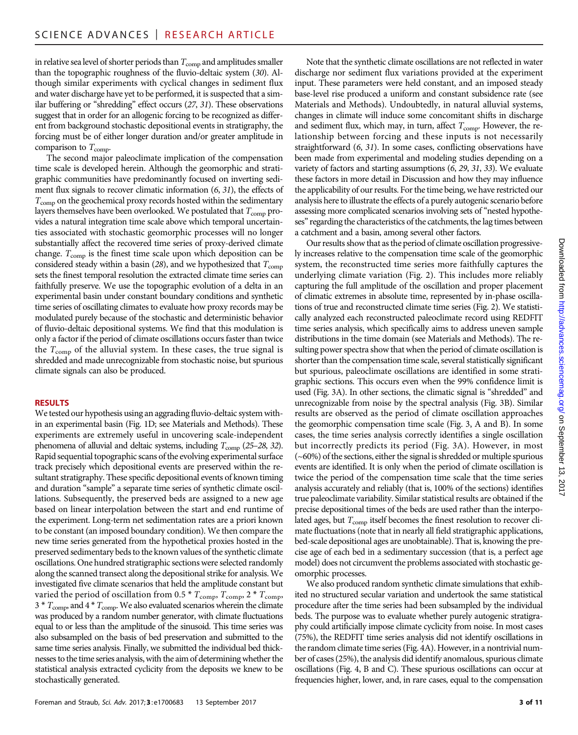in relative sea level of shorter periods than  $T_{\text{comp}}$  and amplitudes smaller than the topographic roughness of the fluvio-deltaic system (30). Although similar experiments with cyclical changes in sediment flux and water discharge have yet to be performed, it is suspected that a similar buffering or "shredding" effect occurs (27, 31). These observations suggest that in order for an allogenic forcing to be recognized as different from background stochastic depositional events in stratigraphy, the forcing must be of either longer duration and/or greater amplitude in comparison to  $T_{\text{comp}}$ .

The second major paleoclimate implication of the compensation time scale is developed herein. Although the geomorphic and stratigraphic communities have predominantly focused on inverting sediment flux signals to recover climatic information (6, 31), the effects of  $T_{\text{comp}}$  on the geochemical proxy records hosted within the sedimentary layers themselves have been overlooked. We postulated that  $T_{\text{comp}}$  provides a natural integration time scale above which temporal uncertainties associated with stochastic geomorphic processes will no longer substantially affect the recovered time series of proxy-derived climate change.  $T_{\text{comp}}$  is the finest time scale upon which deposition can be considered steady within a basin (28), and we hypothesized that  $T_{\text{comp}}$ sets the finest temporal resolution the extracted climate time series can faithfully preserve. We use the topographic evolution of a delta in an experimental basin under constant boundary conditions and synthetic time series of oscillating climates to evaluate how proxy records may be modulated purely because of the stochastic and deterministic behavior of fluvio-deltaic depositional systems. We find that this modulation is only a factor if the period of climate oscillations occurs faster than twice the  $T_{\text{comp}}$  of the alluvial system. In these cases, the true signal is shredded and made unrecognizable from stochastic noise, but spurious climate signals can also be produced.

### RESULTS

We tested our hypothesis using an aggrading fluvio-deltaic system within an experimental basin (Fig. 1D; see Materials and Methods). These experiments are extremely useful in uncovering scale-independent phenomena of alluvial and deltaic systems, including  $T_{\text{comp}}$  (25–28, 32). Rapid sequential topographic scans of the evolving experimental surface track precisely which depositional events are preserved within the resultant stratigraphy. These specific depositional events of known timing and duration "sample" a separate time series of synthetic climate oscillations. Subsequently, the preserved beds are assigned to a new age based on linear interpolation between the start and end runtime of the experiment. Long-term net sedimentation rates are a priori known to be constant (an imposed boundary condition). We then compare the new time series generated from the hypothetical proxies hosted in the preserved sedimentary beds to the known values of the synthetic climate oscillations. One hundred stratigraphic sections were selected randomly along the scanned transect along the depositional strike for analysis. We investigated five climate scenarios that held the amplitude constant but varied the period of oscillation from 0.5 \*  $T_{\rm comp},\, T_{\rm comp},\, 2$  \*  $T_{\rm comp},\,$ 3  $*$   $T_{\text{comp}}$ , and 4  $*$   $T_{\text{comp}}$ . We also evaluated scenarios wherein the climate was produced by a random number generator, with climate fluctuations equal to or less than the amplitude of the sinusoid. This time series was also subsampled on the basis of bed preservation and submitted to the same time series analysis. Finally, we submitted the individual bed thicknesses to the time series analysis, with the aim of determining whether the statistical analysis extracted cyclicity from the deposits we knew to be stochastically generated.

Note that the synthetic climate oscillations are not reflected in water discharge nor sediment flux variations provided at the experiment input. These parameters were held constant, and an imposed steady base-level rise produced a uniform and constant subsidence rate (see Materials and Methods). Undoubtedly, in natural alluvial systems, changes in climate will induce some concomitant shifts in discharge and sediment flux, which may, in turn, affect  $T_{\text{comp}}$ . However, the relationship between forcing and these inputs is not necessarily straightforward (6, 31). In some cases, conflicting observations have been made from experimental and modeling studies depending on a variety of factors and starting assumptions (6, 29, 31, 33). We evaluate these factors in more detail in Discussion and how they may influence the applicability of our results. For the time being, we have restricted our analysis here to illustrate the effects of a purely autogenic scenario before assessing more complicated scenarios involving sets of "nested hypotheses"regarding the characteristics of the catchments, the lag times between a catchment and a basin, among several other factors.

Our results show that as the period of climate oscillation progressively increases relative to the compensation time scale of the geomorphic system, the reconstructed time series more faithfully captures the underlying climate variation (Fig. 2). This includes more reliably capturing the full amplitude of the oscillation and proper placement of climatic extremes in absolute time, represented by in-phase oscillations of true and reconstructed climate time series (Fig. 2). We statistically analyzed each reconstructed paleoclimate record using REDFIT time series analysis, which specifically aims to address uneven sample distributions in the time domain (see Materials and Methods). The resulting power spectra show that when the period of climate oscillation is shorter than the compensation time scale, several statistically significant but spurious, paleoclimate oscillations are identified in some stratigraphic sections. This occurs even when the 99% confidence limit is used (Fig. 3A). In other sections, the climatic signal is "shredded" and unrecognizable from noise by the spectral analysis (Fig. 3B). Similar results are observed as the period of climate oscillation approaches the geomorphic compensation time scale (Fig. 3, A and B). In some cases, the time series analysis correctly identifies a single oscillation but incorrectly predicts its period (Fig. 3A). However, in most (~60%) of the sections, either the signal is shredded or multiple spurious events are identified. It is only when the period of climate oscillation is twice the period of the compensation time scale that the time series analysis accurately and reliably (that is, 100% of the sections) identifies true paleoclimate variability. Similar statistical results are obtained if the precise depositional times of the beds are used rather than the interpolated ages, but  $T_{\text{comp}}$  itself becomes the finest resolution to recover climate fluctuations (note that in nearly all field stratigraphic applications, bed-scale depositional ages are unobtainable). That is, knowing the precise age of each bed in a sedimentary succession (that is, a perfect age model) does not circumvent the problems associated with stochastic geomorphic processes.

We also produced random synthetic climate simulations that exhibited no structured secular variation and undertook the same statistical procedure after the time series had been subsampled by the individual beds. The purpose was to evaluate whether purely autogenic stratigraphy could artificially impose climate cyclicity from noise. In most cases (75%), the REDFIT time series analysis did not identify oscillations in the random climate time series (Fig. 4A). However, in a nontrivial number of cases (25%), the analysis did identify anomalous, spurious climate oscillations (Fig. 4, B and C). These spurious oscillations can occur at frequencies higher, lower, and, in rare cases, equal to the compensation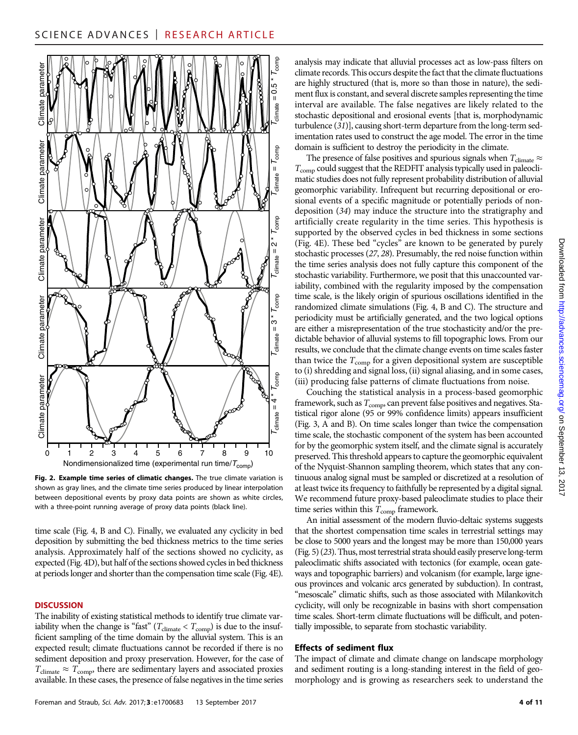

Fig. 2. Example time series of climatic changes. The true climate variation is shown as gray lines, and the climate time series produced by linear interpolation between depositional events by proxy data points are shown as white circles, with a three-point running average of proxy data points (black line).

time scale (Fig. 4, B and C). Finally, we evaluated any cyclicity in bed deposition by submitting the bed thickness metrics to the time series analysis. Approximately half of the sections showed no cyclicity, as expected (Fig. 4D), but half of the sections showed cycles in bed thickness at periods longer and shorter than the compensation time scale (Fig. 4E).

### **DISCUSSION**

The inability of existing statistical methods to identify true climate variability when the change is "fast" ( $T_{\text{climate}} < T_{\text{comp}}$ ) is due to the insufficient sampling of the time domain by the alluvial system. This is an expected result; climate fluctuations cannot be recorded if there is no sediment deposition and proxy preservation. However, for the case of  $T_{\text{climate}} \approx T_{\text{comp}}$ , there are sedimentary layers and associated proxies available. In these cases, the presence of false negatives in the time series analysis may indicate that alluvial processes act as low-pass filters on climate records. This occurs despite the fact that the climate fluctuations are highly structured (that is, more so than those in nature), the sediment flux is constant, and several discrete samples representing the time interval are available. The false negatives are likely related to the stochastic depositional and erosional events [that is, morphodynamic turbulence (31)], causing short-term departure from the long-term sedimentation rates used to construct the age model. The error in the time domain is sufficient to destroy the periodicity in the climate.

The presence of false positives and spurious signals when  $T_{\text{climate}} \approx$  $T_{\text{comp}}$  could suggest that the REDFIT analysis typically used in paleoclimatic studies does not fully represent probability distribution of alluvial geomorphic variability. Infrequent but recurring depositional or erosional events of a specific magnitude or potentially periods of nondeposition (34) may induce the structure into the stratigraphy and artificially create regularity in the time series. This hypothesis is supported by the observed cycles in bed thickness in some sections (Fig. 4E). These bed "cycles" are known to be generated by purely stochastic processes (27, 28). Presumably, the red noise function within the time series analysis does not fully capture this component of the stochastic variability. Furthermore, we posit that this unaccounted variability, combined with the regularity imposed by the compensation time scale, is the likely origin of spurious oscillations identified in the randomized climate simulations (Fig. 4, B and C). The structure and periodicity must be artificially generated, and the two logical options are either a misrepresentation of the true stochasticity and/or the predictable behavior of alluvial systems to fill topographic lows. From our results, we conclude that the climate change events on time scales faster than twice the  $T_{\text{comp}}$  for a given depositional system are susceptible to (i) shredding and signal loss, (ii) signal aliasing, and in some cases, (iii) producing false patterns of climate fluctuations from noise.

Couching the statistical analysis in a process-based geomorphic framework, such as  $T_{\text{comp}}$ , can prevent false positives and negatives. Statistical rigor alone (95 or 99% confidence limits) appears insufficient (Fig. 3, A and B). On time scales longer than twice the compensation time scale, the stochastic component of the system has been accounted for by the geomorphic system itself, and the climate signal is accurately preserved. This threshold appears to capture the geomorphic equivalent of the Nyquist-Shannon sampling theorem, which states that any continuous analog signal must be sampled or discretized at a resolution of at least twice its frequency to faithfully be represented by a digital signal. We recommend future proxy-based paleoclimate studies to place their time series within this  $T_{\text{comp}}$  framework.

An initial assessment of the modern fluvio-deltaic systems suggests that the shortest compensation time scales in terrestrial settings may be close to 5000 years and the longest may be more than 150,000 years (Fig. 5) (23). Thus, most terrestrial strata should easily preserve long-term paleoclimatic shifts associated with tectonics (for example, ocean gateways and topographic barriers) and volcanism (for example, large igneous provinces and volcanic arcs generated by subduction). In contrast, "mesoscale" climatic shifts, such as those associated with Milankovitch cyclicity, will only be recognizable in basins with short compensation time scales. Short-term climate fluctuations will be difficult, and potentially impossible, to separate from stochastic variability.

# Effects of sediment flux

The impact of climate and climate change on landscape morphology and sediment routing is a long-standing interest in the field of geomorphology and is growing as researchers seek to understand the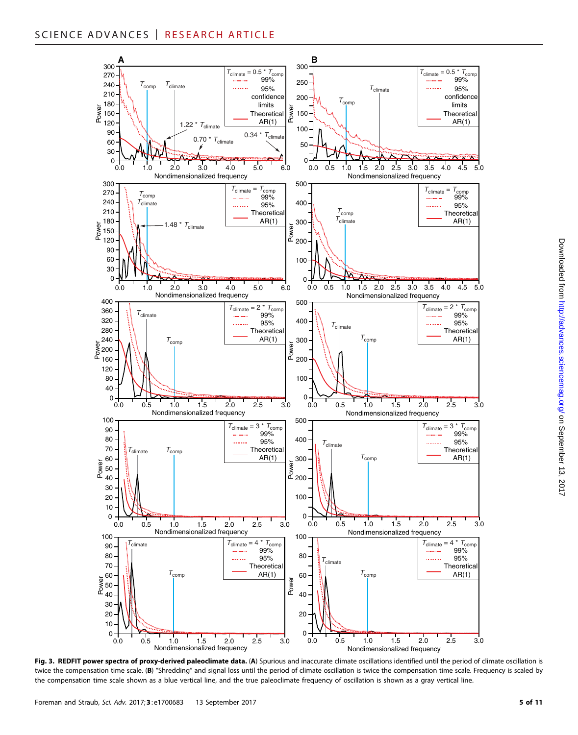

Fig. 3. REDFIT power spectra of proxy-derived paleoclimate data. (A) Spurious and inaccurate climate oscillations identified until the period of climate oscillation is twice the compensation time scale. (B) "Shredding" and signal loss until the period of climate oscillation is twice the compensation time scale. Frequency is scaled by the compensation time scale shown as a blue vertical line, and the true paleoclimate frequency of oscillation is shown as a gray vertical line.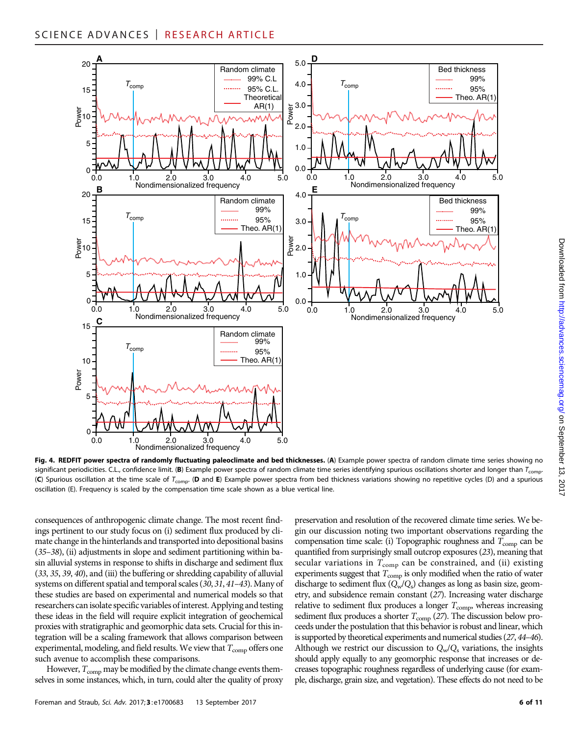

Fig. 4. REDFIT power spectra of randomly fluctuating paleoclimate and bed thicknesses. (A) Example power spectra of random climate time series showing no significant periodicities. C.L., confidence limit. (B) Example power spectra of random climate time series identifying spurious oscillations shorter and longer than  $T_{\text{comp}}$ (C) Spurious oscillation at the time scale of T<sub>comp</sub>. (D and E) Example power spectra from bed thickness variations showing no repetitive cycles (D) and a spurious oscillation (E). Frequency is scaled by the compensation time scale shown as a blue vertical line.

consequences of anthropogenic climate change. The most recent findings pertinent to our study focus on (i) sediment flux produced by climate change in the hinterlands and transported into depositional basins (35–38), (ii) adjustments in slope and sediment partitioning within basin alluvial systems in response to shifts in discharge and sediment flux (33, 35, 39, 40), and (iii) the buffering or shredding capability of alluvial systems on different spatial and temporal scales (30, 31, 41–43). Many of these studies are based on experimental and numerical models so that researchers can isolate specific variables of interest. Applying and testing these ideas in the field will require explicit integration of geochemical proxies with stratigraphic and geomorphic data sets. Crucial for this integration will be a scaling framework that allows comparison between experimental, modeling, and field results. We view that  $T_{\text{comp}}$  offers one such avenue to accomplish these comparisons.

However,  $T_{\text{comp}}$  may be modified by the climate change events themselves in some instances, which, in turn, could alter the quality of proxy

preservation and resolution of the recovered climate time series. We begin our discussion noting two important observations regarding the compensation time scale: (i) Topographic roughness and  $T_{\text{comp}}$  can be quantified from surprisingly small outcrop exposures (23), meaning that secular variations in  $T_{\text{comp}}$  can be constrained, and (ii) existing experiments suggest that  $T_{\text{comp}}$  is only modified when the ratio of water discharge to sediment flux  $(Q_w/Q_s)$  changes as long as basin size, geometry, and subsidence remain constant (27). Increasing water discharge relative to sediment flux produces a longer  $T_{\rm comp}$  whereas increasing sediment flux produces a shorter  $T_{\text{comp}}(27)$ . The discussion below proceeds under the postulation that this behavior is robust and linear, which is supported by theoretical experiments and numerical studies (27, 44–46). Although we restrict our discussion to  $Q_w/Q_s$  variations, the insights should apply equally to any geomorphic response that increases or decreases topographic roughness regardless of underlying cause (for example, discharge, grain size, and vegetation). These effects do not need to be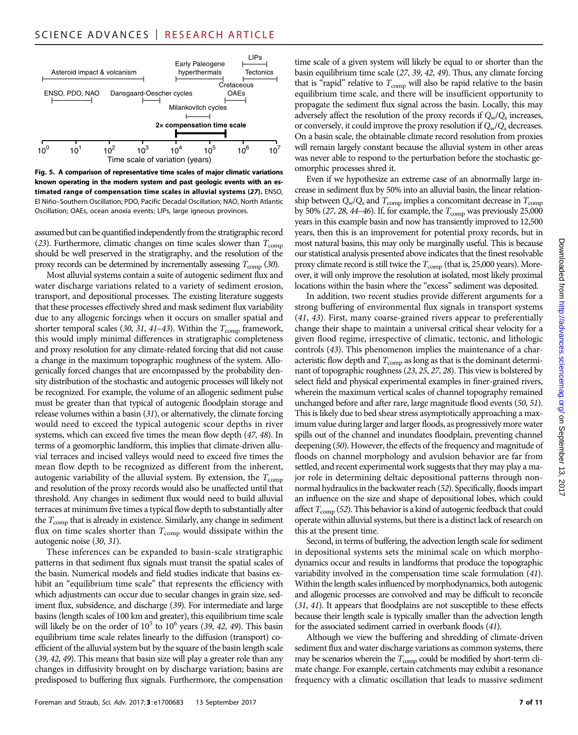

Fig. 5. A comparison of representative time scales of major climatic variations known operating in the modern system and past geologic events with an estimated range of compensation time scales in alluvial systems (27). ENSO, El Niño–Southern Oscillation; PDO, Pacific Decadal Oscillation; NAO, North Atlantic Oscillation; OAEs, ocean anoxia events; LIPs, large igneous provinces.

assumed but can be quantified independently from the stratigraphic record (23). Furthermore, climatic changes on time scales slower than  $T_{\text{comp}}$ should be well preserved in the stratigraphy, and the resolution of the proxy records can be determined by incrementally assessing  $T_{\text{comp}}$  (30).

Most alluvial systems contain a suite of autogenic sediment flux and water discharge variations related to a variety of sediment erosion, transport, and depositional processes. The existing literature suggests that these processes effectively shred and mask sediment flux variability due to any allogenic forcings when it occurs on smaller spatial and shorter temporal scales (30, 31, 41-43). Within the  $T_{\text{comp}}$  framework, this would imply minimal differences in stratigraphic completeness and proxy resolution for any climate-related forcing that did not cause a change in the maximum topographic roughness of the system. Allogenically forced changes that are encompassed by the probability density distribution of the stochastic and autogenic processes will likely not be recognized. For example, the volume of an allogenic sediment pulse must be greater than that typical of autogenic floodplain storage and release volumes within a basin (31), or alternatively, the climate forcing would need to exceed the typical autogenic scour depths in river systems, which can exceed five times the mean flow depth (47, 48). In terms of a geomorphic landform, this implies that climate-driven alluvial terraces and incised valleys would need to exceed five times the mean flow depth to be recognized as different from the inherent, autogenic variability of the alluvial system. By extension, the  $T_{\text{comp}}$ and resolution of the proxy records would also be unaffected until that threshold. Any changes in sediment flux would need to build alluvial terraces at minimum five times a typical flow depth to substantially alter the  $T_{\text{comp}}$  that is already in existence. Similarly, any change in sediment flux on time scales shorter than  $T_{\text{comp}}$  would dissipate within the autogenic noise (30, 31).

These inferences can be expanded to basin-scale stratigraphic patterns in that sediment flux signals must transit the spatial scales of the basin. Numerical models and field studies indicate that basins exhibit an "equilibrium time scale" that represents the efficiency with which adjustments can occur due to secular changes in grain size, sediment flux, subsidence, and discharge (39). For intermediate and large basins (length scales of 100 km and greater), this equilibrium time scale will likely be on the order of  $10^5$  to  $10^6$  years (39, 42, 49). This basin equilibrium time scale relates linearly to the diffusion (transport) coefficient of the alluvial system but by the square of the basin length scale (39, 42, 49). This means that basin size will play a greater role than any changes in diffusivity brought on by discharge variation; basins are predisposed to buffering flux signals. Furthermore, the compensation

time scale of a given system will likely be equal to or shorter than the basin equilibrium time scale (27, 39, 42, 49). Thus, any climate forcing that is "rapid" relative to  $T_{\text{comp}}$  will also be rapid relative to the basin equilibrium time scale, and there will be insufficient opportunity to propagate the sediment flux signal across the basin. Locally, this may adversely affect the resolution of the proxy records if  $Q_w/Q_s$  increases, or conversely, it could improve the proxy resolution if  $Q_w/Q_s$  decreases. On a basin scale, the obtainable climate record resolution from proxies will remain largely constant because the alluvial system in other areas was never able to respond to the perturbation before the stochastic geomorphic processes shred it.

Even if we hypothesize an extreme case of an abnormally large increase in sediment flux by 50% into an alluvial basin, the linear relationship between  $Q_w/Q_s$  and  $T_{\text{comp}}$  implies a concomitant decrease in  $T_{\text{comp}}$ by 50% (27, 28, 44–46). If, for example, the  $T_{\text{comp}}$  was previously 25,000 years in this example basin and now has transiently improved to 12,500 years, then this is an improvement for potential proxy records, but in most natural basins, this may only be marginally useful. This is because our statistical analysis presented above indicates that the finest resolvable proxy climate record is still twice the  $T_{\text{comp}}$  (that is, 25,000 years). Moreover, it will only improve the resolution at isolated, most likely proximal locations within the basin where the "excess" sediment was deposited.

In addition, two recent studies provide different arguments for a strong buffering of environmental flux signals in transport systems (41, 43). First, many coarse-grained rivers appear to preferentially change their shape to maintain a universal critical shear velocity for a given flood regime, irrespective of climatic, tectonic, and lithologic controls (43). This phenomenon implies the maintenance of a characteristic flow depth and  $T_{\text{comp}}$  as long as that is the dominant determinant of topographic roughness (23, 25, 27, 28). This view is bolstered by select field and physical experimental examples in finer-grained rivers, wherein the maximum vertical scales of channel topography remained unchanged before and after rare, large magnitude flood events (50, 51). This is likely due to bed shear stress asymptotically approaching a maximum value during larger and larger floods, as progressively more water spills out of the channel and inundates floodplain, preventing channel deepening (50). However, the effects of the frequency and magnitude of floods on channel morphology and avulsion behavior are far from settled, and recent experimental work suggests that they may play a major role in determining deltaic depositional patterns through nonnormal hydraulics in the backwater reach (52). Specifically, floods impart an influence on the size and shape of depositional lobes, which could affect  $T_{\text{comp}}$  (52). This behavior is a kind of autogenic feedback that could operate within alluvial systems, but there is a distinct lack of research on this at the present time.

Second, in terms of buffering, the advection length scale for sediment in depositional systems sets the minimal scale on which morphodynamics occur and results in landforms that produce the topographic variability involved in the compensation time scale formulation (41). Within the length scales influenced by morphodynamics, both autogenic and allogenic processes are convolved and may be difficult to reconcile (31, 41). It appears that floodplains are not susceptible to these effects because their length scale is typically smaller than the advection length for the associated sediment carried in overbank floods (41).

Although we view the buffering and shredding of climate-driven sediment flux and water discharge variations as common systems, there may be scenarios wherein the  $T_{\text{comp}}$  could be modified by short-term climate change. For example, certain catchments may exhibit a resonance frequency with a climatic oscillation that leads to massive sediment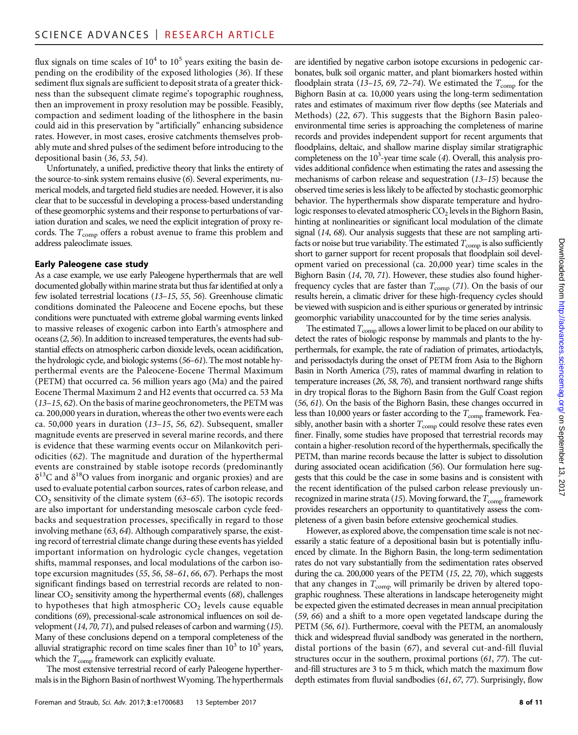flux signals on time scales of  $10^4$  to  $10^5$  years exiting the basin depending on the erodibility of the exposed lithologies (36). If these sediment flux signals are sufficient to deposit strata of a greater thickness than the subsequent climate regime's topographic roughness, then an improvement in proxy resolution may be possible. Feasibly, compaction and sediment loading of the lithosphere in the basin could aid in this preservation by "artificially" enhancing subsidence rates. However, in most cases, erosive catchments themselves probably mute and shred pulses of the sediment before introducing to the depositional basin (36, 53, 54).

Unfortunately, a unified, predictive theory that links the entirety of the source-to-sink system remains elusive (6). Several experiments, numerical models, and targeted field studies are needed. However, it is also clear that to be successful in developing a process-based understanding of these geomorphic systems and their response to perturbations of variation duration and scales, we need the explicit integration of proxy records. The  $T_{\text{comp}}$  offers a robust avenue to frame this problem and address paleoclimate issues.

# Early Paleogene case study

As a case example, we use early Paleogene hyperthermals that are well documented globally within marine strata but thus far identified at only a few isolated terrestrial locations (13–15, 55, 56). Greenhouse climatic conditions dominated the Paleocene and Eocene epochs, but these conditions were punctuated with extreme global warming events linked to massive releases of exogenic carbon into Earth's atmosphere and oceans (2, 56). In addition to increased temperatures, the events had substantial effects on atmospheric carbon dioxide levels, ocean acidification, the hydrologic cycle, and biologic systems (56–61). The most notable hyperthermal events are the Paleocene-Eocene Thermal Maximum (PETM) that occurred ca. 56 million years ago (Ma) and the paired Eocene Thermal Maximum 2 and H2 events that occurred ca. 53 Ma (13–15, 62). On the basis of marine geochronometers, the PETM was ca. 200,000 years in duration, whereas the other two events were each ca. 50,000 years in duration (13–15, 56, 62). Subsequent, smaller magnitude events are preserved in several marine records, and there is evidence that these warming events occur on Milankovitch periodicities (62). The magnitude and duration of the hyperthermal events are constrained by stable isotope records (predominantly  $\delta^{13}$ C and  $\delta^{18}$ O values from inorganic and organic proxies) and are used to evaluate potential carbon sources, rates of carbon release, and  $CO<sub>2</sub>$  sensitivity of the climate system (63–65). The isotopic records are also important for understanding mesoscale carbon cycle feedbacks and sequestration processes, specifically in regard to those involving methane (63, 64). Although comparatively sparse, the existing record of terrestrial climate change during these events has yielded important information on hydrologic cycle changes, vegetation shifts, mammal responses, and local modulations of the carbon isotope excursion magnitudes (55, 56, 58–61, 66, 67). Perhaps the most significant findings based on terrestrial records are related to nonlinear  $CO<sub>2</sub>$  sensitivity among the hyperthermal events (68), challenges to hypotheses that high atmospheric  $CO<sub>2</sub>$  levels cause equable conditions (69), precessional-scale astronomical influences on soil development (14, 70, 71), and pulsed releases of carbon and warming (15). Many of these conclusions depend on a temporal completeness of the alluvial stratigraphic record on time scales finer than  $10^3$  to  $10^5$  years, which the  $T_{\text{comp}}$  framework can explicitly evaluate.

The most extensive terrestrial record of early Paleogene hyperthermals is in the Bighorn Basin of northwest Wyoming. The hyperthermals

are identified by negative carbon isotope excursions in pedogenic carbonates, bulk soil organic matter, and plant biomarkers hosted within floodplain strata (13–15, 69, 72–74). We estimated the  $T_{\text{comp}}$  for the Bighorn Basin at ca. 10,000 years using the long-term sedimentation rates and estimates of maximum river flow depths (see Materials and Methods) (22, 67). This suggests that the Bighorn Basin paleoenvironmental time series is approaching the completeness of marine records and provides independent support for recent arguments that floodplains, deltaic, and shallow marine display similar stratigraphic completeness on the 10<sup>3</sup>-year time scale (4). Overall, this analysis provides additional confidence when estimating the rates and assessing the mechanisms of carbon release and sequestration (13–15) because the observed time series is less likely to be affected by stochastic geomorphic behavior. The hyperthermals show disparate temperature and hydrologic responses to elevated atmospheric  $CO<sub>2</sub>$  levels in the Bighorn Basin, hinting at nonlinearities or significant local modulation of the climate signal (14, 68). Our analysis suggests that these are not sampling artifacts or noise but true variability. The estimated  $T_{\text{comp}}$  is also sufficiently short to garner support for recent proposals that floodplain soil development varied on precessional (ca. 20,000 year) time scales in the Bighorn Basin (14, 70, 71). However, these studies also found higherfrequency cycles that are faster than  $T_{\text{comp}}$  (71). On the basis of our results herein, a climatic driver for these high-frequency cycles should be viewed with suspicion and is either spurious or generated by intrinsic geomorphic variability unaccounted for by the time series analysis.

The estimated  $T_{\text{comp}}$  allows a lower limit to be placed on our ability to detect the rates of biologic response by mammals and plants to the hyperthermals, for example, the rate of radiation of primates, artiodactyls, and perissodactyls during the onset of PETM from Asia to the Bighorn Basin in North America (75), rates of mammal dwarfing in relation to temperature increases (26, 58, 76), and transient northward range shifts in dry tropical floras to the Bighorn Basin from the Gulf Coast region (56, 61). On the basis of the Bighorn Basin, these changes occurred in less than 10,000 years or faster according to the  $T_{\text{comp}}$  framework. Feasibly, another basin with a shorter  $T_{\text{comp}}$  could resolve these rates even finer. Finally, some studies have proposed that terrestrial records may contain a higher-resolution record of the hyperthermals, specifically the PETM, than marine records because the latter is subject to dissolution during associated ocean acidification (56). Our formulation here suggests that this could be the case in some basins and is consistent with the recent identification of the pulsed carbon release previously unrecognized in marine strata (15). Moving forward, the  $T_{\text{comp}}$  framework provides researchers an opportunity to quantitatively assess the completeness of a given basin before extensive geochemical studies.

However, as explored above, the compensation time scale is not necessarily a static feature of a depositional basin but is potentially influenced by climate. In the Bighorn Basin, the long-term sedimentation rates do not vary substantially from the sedimentation rates observed during the ca. 200,000 years of the PETM (15, 22, 70), which suggests that any changes in  $T_{\text{comp}}$  will primarily be driven by altered topographic roughness. These alterations in landscape heterogeneity might be expected given the estimated decreases in mean annual precipitation (59, 66) and a shift to a more open vegetated landscape during the PETM (56, 61). Furthermore, coeval with the PETM, an anomalously thick and widespread fluvial sandbody was generated in the northern, distal portions of the basin (67), and several cut-and-fill fluvial structures occur in the southern, proximal portions (61, 77). The cutand-fill structures are 3 to 5 m thick, which match the maximum flow depth estimates from fluvial sandbodies (61, 67, 77). Surprisingly, flow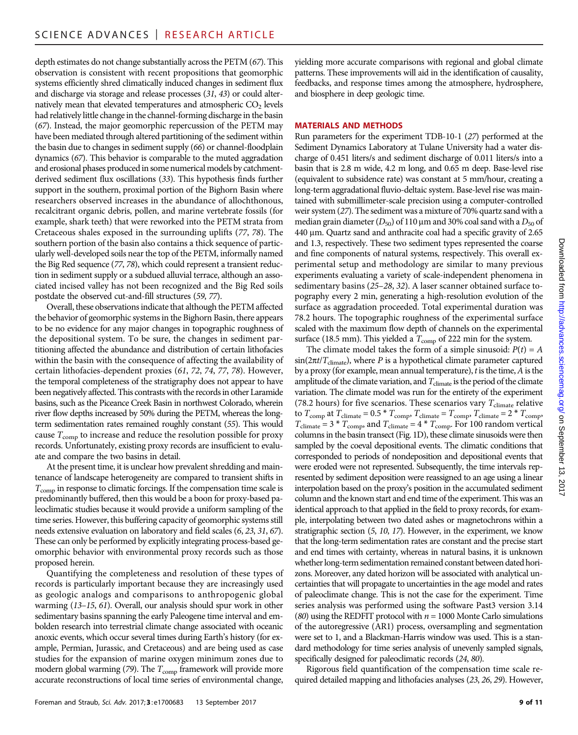depth estimates do not change substantially across the PETM (67). This observation is consistent with recent propositions that geomorphic systems efficiently shred climatically induced changes in sediment flux and discharge via storage and release processes (31, 43) or could alternatively mean that elevated temperatures and atmospheric  $CO<sub>2</sub>$  levels had relatively little change in the channel-forming discharge in the basin (67). Instead, the major geomorphic repercussion of the PETM may have been mediated through altered partitioning of the sediment within the basin due to changes in sediment supply (66) or channel-floodplain dynamics (67). This behavior is comparable to the muted aggradation and erosional phases produced in some numerical models by catchmentderived sediment flux oscillations (33). This hypothesis finds further support in the southern, proximal portion of the Bighorn Basin where researchers observed increases in the abundance of allochthonous, recalcitrant organic debris, pollen, and marine vertebrate fossils (for example, shark teeth) that were reworked into the PETM strata from Cretaceous shales exposed in the surrounding uplifts (77, 78). The southern portion of the basin also contains a thick sequence of particularly well-developed soils near the top of the PETM, informally named the Big Red sequence (77, 78), which could represent a transient reduction in sediment supply or a subdued alluvial terrace, although an associated incised valley has not been recognized and the Big Red soils postdate the observed cut-and-fill structures (59, 77).

Overall, these observations indicate that although the PETM affected the behavior of geomorphic systemsin the Bighorn Basin, there appears to be no evidence for any major changes in topographic roughness of the depositional system. To be sure, the changes in sediment partitioning affected the abundance and distribution of certain lithofacies within the basin with the consequence of affecting the availability of certain lithofacies-dependent proxies (61, 72, 74, 77, 78). However, the temporal completeness of the stratigraphy does not appear to have been negatively affected. This contrasts with the records in other Laramide basins, such as the Piceance Creek Basin in northwest Colorado, wherein river flow depths increased by 50% during the PETM, whereas the longterm sedimentation rates remained roughly constant (55). This would cause  $T_{\text{comp}}$  to increase and reduce the resolution possible for proxy records. Unfortunately, existing proxy records are insufficient to evaluate and compare the two basins in detail.

At the present time, it is unclear how prevalent shredding and maintenance of landscape heterogeneity are compared to transient shifts in  $T_{\text{comp}}$  in response to climatic forcings. If the compensation time scale is predominantly buffered, then this would be a boon for proxy-based paleoclimatic studies because it would provide a uniform sampling of the time series. However, this buffering capacity of geomorphic systems still needs extensive evaluation on laboratory and field scales (6, 23, 31, 67). These can only be performed by explicitly integrating process-based geomorphic behavior with environmental proxy records such as those proposed herein.

Quantifying the completeness and resolution of these types of records is particularly important because they are increasingly used as geologic analogs and comparisons to anthropogenic global warming (13–15, 61). Overall, our analysis should spur work in other sedimentary basins spanning the early Paleogene time interval and embolden research into terrestrial climate change associated with oceanic anoxic events, which occur several times during Earth's history (for example, Permian, Jurassic, and Cretaceous) and are being used as case studies for the expansion of marine oxygen minimum zones due to modern global warming (79). The  $T_{\rm comp}$  framework will provide more accurate reconstructions of local time series of environmental change,

yielding more accurate comparisons with regional and global climate patterns. These improvements will aid in the identification of causality, feedbacks, and response times among the atmosphere, hydrosphere, and biosphere in deep geologic time.

## MATERIALS AND METHODS

Run parameters for the experiment TDB-10-1 (27) performed at the Sediment Dynamics Laboratory at Tulane University had a water discharge of 0.451 liters/s and sediment discharge of 0.011 liters/s into a basin that is 2.8 m wide, 4.2 m long, and 0.65 m deep. Base-level rise (equivalent to subsidence rate) was constant at 5 mm/hour, creating a long-term aggradational fluvio-deltaic system. Base-level rise was maintained with submillimeter-scale precision using a computer-controlled weir system (27). The sediment was a mixture of 70% quartz sand with a median grain diameter ( $D_{50}$ ) of 110 µm and 30% coal sand with a  $D_{50}$  of 440 µm. Quartz sand and anthracite coal had a specific gravity of 2.65 and 1.3, respectively. These two sediment types represented the coarse and fine components of natural systems, respectively. This overall experimental setup and methodology are similar to many previous experiments evaluating a variety of scale-independent phenomena in sedimentary basins (25–28, 32). A laser scanner obtained surface topography every 2 min, generating a high-resolution evolution of the surface as aggradation proceeded. Total experimental duration was 78.2 hours. The topographic roughness of the experimental surface scaled with the maximum flow depth of channels on the experimental surface (18.5 mm). This yielded a  $T_{\text{comp}}$  of 222 min for the system.

The climate model takes the form of a simple sinusoid:  $P(t) = A$  $sin(2\pi t/T_{climate})$ , where P is a hypothetical climate parameter captured by a proxy (for example, mean annual temperature),  $t$  is the time,  $A$  is the amplitude of the climate variation, and  $T_{\text{climate}}$  is the period of the climate variation. The climate model was run for the entirety of the experiment (78.2 hours) for five scenarios. These scenarios vary  $T_{\text{climate}}$  relative to  $T_{\rm comp}$  at  $T_{\rm climate}$  = 0.5 \*  $T_{\rm comp},$   $T_{\rm climate}$  =  $T_{\rm comp},$   $T_{\rm climate}$  = 2 \*  $T_{\rm comp},$  $T_{\text{climate}} = 3 * T_{\text{comp}}$ , and  $T_{\text{climate}} = 4 * T_{\text{comp}}$ . For 100 random vertical columns in the basin transect (Fig. 1D), these climate sinusoids were then sampled by the coeval depositional events. The climatic conditions that corresponded to periods of nondeposition and depositional events that were eroded were not represented. Subsequently, the time intervals represented by sediment deposition were reassigned to an age using a linear interpolation based on the proxy's position in the accumulated sediment column and the known start and end time of the experiment. This was an identical approach to that applied in the field to proxy records, for example, interpolating between two dated ashes or magnetochrons within a stratigraphic section (5, 10, 17). However, in the experiment, we know that the long-term sedimentation rates are constant and the precise start and end times with certainty, whereas in natural basins, it is unknown whether long-term sedimentation remained constant between dated horizons. Moreover, any dated horizon will be associated with analytical uncertainties that will propagate to uncertainties in the age model and rates of paleoclimate change. This is not the case for the experiment. Time series analysis was performed using the software Past3 version 3.14 (80) using the REDFIT protocol with  $n = 1000$  Monte Carlo simulations of the autoregressive (AR1) process, oversampling and segmentation were set to 1, and a Blackman-Harris window was used. This is a standard methodology for time series analysis of unevenly sampled signals, specifically designed for paleoclimatic records  $(24, 80)$ .

Rigorous field quantification of the compensation time scale required detailed mapping and lithofacies analyses (23, 26, 29). However,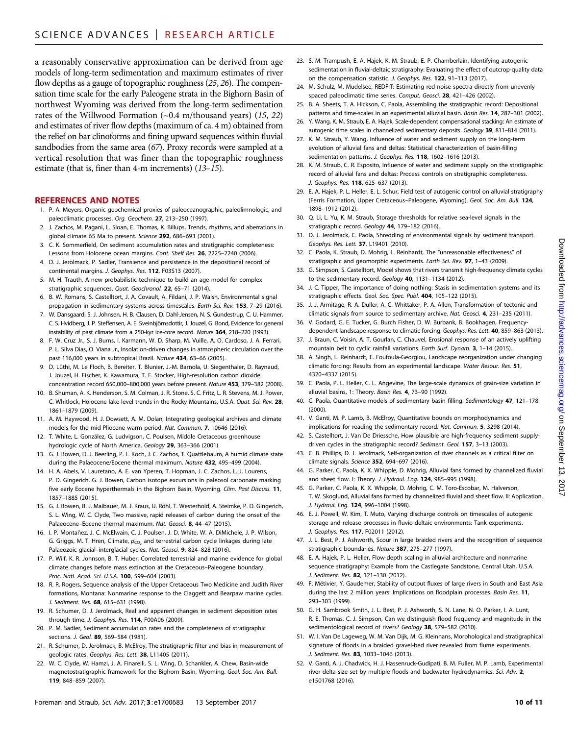a reasonably conservative approximation can be derived from age models of long-term sedimentation and maximum estimates of river flow depths as a gauge of topographic roughness (25, 26). The compensation time scale for the early Paleogene strata in the Bighorn Basin of northwest Wyoming was derived from the long-term sedimentation rates of the Willwood Formation (~0.4 m/thousand years) (15, 22) and estimates of river flow depths (maximum of ca. 4 m) obtained from the relief on bar clinoforms and fining upward sequences within fluvial sandbodies from the same area (67). Proxy records were sampled at a vertical resolution that was finer than the topographic roughness estimate (that is, finer than 4-m increments) (13–15).

#### REFERENCES AND NOTES

- 1. P. A. Meyers, Organic geochemical proxies of paleoceanographic, paleolimnologic, and paleoclimatic processes. Org. Geochem. 27, 213–250 (1997).
- 2. J. Zachos, M. Pagani, L. Sloan, E. Thomas, K. Billups, Trends, rhythms, and aberrations in global climate 65 Ma to present. Science 292, 686-693 (2001).
- 3. C. K. Sommerfield, On sediment accumulation rates and stratigraphic completeness: Lessons from Holocene ocean margins. Cont. Shelf Res. 26, 2225–2240 (2006).
- 4. D. J. Jerolmack, P. Sadler, Transience and persistence in the depositional record of continental margins. J. Geophys. Res. 112, F03S13 (2007).
- 5. M. H. Trauth, A new probabilistic technique to build an age model for complex stratigraphic sequences. Quat. Geochronol. 22, 65-71 (2014).
- 6. B. W. Romans, S. Castelltort, J. A. Covault, A. Fildani, J. P. Walsh, Environmental signal propagation in sedimentary systems across timescales. Earth Sci. Rev. 153, 7–29 (2016).
- 7. W. Dansgaard, S. J. Johnsen, H. B. Clausen, D. Dahl-Jensen, N. S. Gundestrup, C. U. Hammer, C. S. Hvidberg, J. P. Steffensen, A. E. Sveinbjörnsdottir, J. Jouzel, G. Bond, Evidence for general instability of past climate from a 250-kyr ice-core record. Nature 364, 218–220 (1993).
- 8. F. W. Cruz Jr., S. J. Burns, I. Karmann, W. D. Sharp, M. Vuille, A. O. Cardoso, J. A. Ferrari, P. L. Silva Dias, O. Viana Jr., Insolation-driven changes in atmospheric circulation over the past 116,000 years in subtropical Brazil. Nature 434, 63-66 (2005).
- 9. D. Lüthi, M. Le Floch, B. Bereiter, T. Blunier, J.-M. Barnola, U. Siegenthaler, D. Raynaud, J. Jouzel, H. Fischer, K. Kawamura, T. F. Stocker, High-resolution carbon dioxide concentration record 650,000–800,000 years before present. Nature 453, 379–382 (2008).
- 10. B. Shuman, A. K. Henderson, S. M. Colman, J. R. Stone, S. C. Fritz, L. R. Stevens, M. J. Power, C. Whitlock, Holocene lake-level trends in the Rocky Mountains, U.S.A. Quat. Sci. Rev. 28, 1861–1879 (2009).
- 11. A. M. Haywood, H. J. Dowsett, A. M. Dolan, Integrating geological archives and climate models for the mid-Pliocene warm period. Nat. Commun. 7, 10646 (2016).
- 12. T. White, L. González, G. Ludvigson, C. Poulsen, Middle Cretaceous greenhouse hydrologic cycle of North America. Geology 29, 363-366 (2001).
- 13. G. J. Bowen, D. J. Beerling, P. L. Koch, J. C. Zachos, T. Quattlebaum, A humid climate state during the Palaeocene/Eocene thermal maximum. Nature 432, 495–499 (2004).
- 14. H. A. Abels, V. Lauretano, A. E. van Yperen, T. Hopman, J. C. Zachos, L. J. Lourens, P. D. Gingerich, G. J. Bowen, Carbon isotope excursions in paleosol carbonate marking five early Eocene hyperthermals in the Bighorn Basin, Wyoming. Clim. Past Discuss. 11, 1857–1885 (2015).
- 15. G. J. Bowen, B. J. Maibauer, M. J. Kraus, U. Röhl, T. Westerhold, A. Steimke, P. D. Gingerich, S. L. Wing, W. C. Clyde, Two massive, rapid releases of carbon during the onset of the Palaeocene–Eocene thermal maximum. Nat. Geosci. 8, 44-47 (2015).
- 16. I. P. Montañez, J. C. McElwain, C. J. Poulsen, J. D. White, W. A. DiMichele, J. P. Wilson, G. Griggs, M. T. Hren, Climate,  $p_{CO_2}$  and terrestrial carbon cycle linkages during late Palaeozoic glacial–interglacial cycles. Nat. Geosci. 9, 824–828 (2016).
- 17. P. Wilf, K. R. Johnson, B. T. Huber, Correlated terrestrial and marine evidence for global climate changes before mass extinction at the Cretaceous–Paleogene boundary. Proc. Natl. Acad. Sci. U.S.A. 100, 599–604 (2003).
- 18. R. R. Rogers, Sequence analysis of the Upper Cretaceous Two Medicine and Judith River formations, Montana: Nonmarine response to the Claggett and Bearpaw marine cycles. J. Sediment. Res. 68, 615-631 (1998).
- 19. R. Schumer, D. J. Jerolmack, Real and apparent changes in sediment deposition rates through time. J. Geophys. Res. 114, F00A06 (2009).
- 20. P. M. Sadler, Sediment accumulation rates and the completeness of stratigraphic sections. J. Geol. 89, 569-584 (1981).
- 21. R. Schumer, D. Jerolmack, B. McElroy, The stratigraphic filter and bias in measurement of geologic rates. Geophys. Res. Lett. 38, L11405 (2011).
- 22. W. C. Clyde, W. Hamzi, J. A. Finarelli, S. L. Wing, D. Schankler, A. Chew, Basin-wide magnetostratigraphic framework for the Bighorn Basin, Wyoming. Geol. Soc. Am. Bull. 119, 848–859 (2007).
- 23. S. M. Trampush, E. A. Hajek, K. M. Straub, E. P. Chamberlain, Identifying autogenic sedimentation in fluvial-deltaic stratigraphy: Evaluating the effect of outcrop-quality data on the compensation statistic. J. Geophys. Res. 122, 91–113 (2017).
- 24. M. Schulz, M. Mudelsee, REDFIT: Estimating red-noise spectra directly from unevenly spaced paleoclimatic time series. Comput. Geosci. 28, 421-426 (2002).
- 25. B. A. Sheets, T. A. Hickson, C. Paola, Assembling the stratigraphic record: Depositional patterns and time-scales in an experimental alluvial basin. Basin Res. 14, 287-301 (2002).
- 26. Y. Wang, K. M. Straub, E. A. Hajek, Scale-dependent compensational stacking: An estimate of autogenic time scales in channelized sedimentary deposits. Geology 39, 811-814 (2011).
- 27. K. M. Straub, Y. Wang, Influence of water and sediment supply on the long-term evolution of alluvial fans and deltas: Statistical characterization of basin-filling sedimentation patterns. J. Geophys. Res. 118, 1602-1616 (2013).
- 28. K. M. Straub, C. R. Esposito, Influence of water and sediment supply on the stratigraphic record of alluvial fans and deltas: Process controls on stratigraphic completeness. J. Geophys. Res. 118, 625–637 (2013).
- 29. E. A. Hajek, P. L. Heller, E. L. Schur, Field test of autogenic control on alluvial stratigraphy (Ferris Formation, Upper Cretaceous–Paleogene, Wyoming). Geol. Soc. Am. Bull. 124, 1898–1912 (2012).
- 30. Q. Li, L. Yu, K. M. Straub, Storage thresholds for relative sea-level signals in the stratigraphic record. Geology 44, 179-182 (2016).
- 31. D. J. Jerolmack, C. Paola, Shredding of environmental signals by sediment transport. Geophys. Res. Lett. 37, L19401 (2010).
- 32. C. Paola, K. Straub, D. Mohrig, L. Reinhardt, The "unreasonable effectiveness" of stratigraphic and geomorphic experiments. Earth Sci. Rev. 97, 1-43 (2009).
- 33. G. Simpson, S. Castelltort, Model shows that rivers transmit high-frequency climate cycles to the sedimentary record. Geology 40, 1131–1134 (2012).
- 34. J. C. Tipper, The importance of doing nothing: Stasis in sedimentation systems and its stratigraphic effects. Geol. Soc. Spec. Publ. 404, 105–122 (2015).
- 35. J. J. Armitage, R. A. Duller, A. C. Whittaker, P. A. Allen, Transformation of tectonic and climatic signals from source to sedimentary archive. Nat. Geosci. 4, 231–235 (2011).
- 36. V. Godard, G. E. Tucker, G. Burch Fisher, D. W. Burbank, B. Bookhagen, Frequencydependent landscape response to climatic forcing. Geophys. Res. Lett. 40, 859–863 (2013).
- 37. J. Braun, C. Voisin, A. T. Gourlan, C. Chauvel, Erosional response of an actively uplifting mountain belt to cyclic rainfall variations. Earth Surf. Dynam. 3, 1-14 (2015).
- 38. A. Singh, L. Reinhardt, E. Foufoula-Georgiou, Landscape reorganization under changing climatic forcing: Results from an experimental landscape. Water Resour. Res. 51, 4320–4337 (2015).
- 39. C. Paola, P. L. Heller, C. L. Angevine, The large-scale dynamics of grain-size variation in alluvial basins, 1: Theory. Basin Res. 4, 73–90 (1992).
- 40. C. Paola, Quantitative models of sedimentary basin filling. Sedimentology 47, 121-178 (2000).
- 41. V. Ganti, M. P. Lamb, B. McElroy, Quantitative bounds on morphodynamics and implications for reading the sedimentary record. Nat. Commun. 5, 3298 (2014).
- 42. S. Castelltort, J. Van De Driessche, How plausible are high-frequency sediment supplydriven cycles in the stratigraphic record? Sediment. Geol. 157, 3-13 (2003).
- 43. C. B. Phillips, D. J. Jerolmack, Self-organization of river channels as a critical filter on climate signals. Science 352, 694–697 (2016).
- 44. G. Parker, C. Paola, K. X. Whipple, D. Mohrig, Alluvial fans formed by channelized fluvial and sheet flow. I: Theory. J. Hydraul. Eng. 124, 985–995 (1998).
- 45. G. Parker, C. Paola, K. X. Whipple, D. Mohrig, C. M. Toro-Escobar, M. Halverson, T. W. Skoglund, Alluvial fans formed by channelized fluvial and sheet flow. II: Application. J. Hydraul. Eng. 124, 996–1004 (1998).
- 46. E. J. Powell, W. Kim, T. Muto, Varying discharge controls on timescales of autogenic storage and release processes in fluvio-deltaic environments: Tank experiments. J. Geophys. Res. 117, F02011 (2012).
- 47. J. L. Best, P. J. Ashworth, Scour in large braided rivers and the recognition of sequence stratigraphic boundaries. Nature 387, 275–277 (1997).
- 48. E. A. Hajek, P. L. Heller, Flow-depth scaling in alluvial architecture and nonmarine sequence stratigraphy: Example from the Castlegate Sandstone, Central Utah, U.S.A. J. Sediment. Res. 82, 121–130 (2012).
- 49. F. Métivier, Y. Gaudemer, Stability of output fluxes of large rivers in South and East Asia during the last 2 million years: Implications on floodplain processes. Basin Res. 11, 293–303 (1999).
- 50. G. H. Sambrook Smith, J. L. Best, P. J. Ashworth, S. N. Lane, N. O. Parker, I. A. Lunt, R. E. Thomas, C. J. Simpson, Can we distinguish flood frequency and magnitude in the sedimentological record of rivers? Geology 38, 579-582 (2010).
- 51. W. I. Van De Lageweg, W. M. Van Dijk, M. G. Kleinhans, Morphological and stratigraphical signature of floods in a braided gravel-bed river revealed from flume experiments. J. Sediment. Res. 83, 1033–1046 (2013).
- 52. V. Ganti, A. J. Chadwick, H. J. Hassenruck-Gudipati, B. M. Fuller, M. P. Lamb, Experimental river delta size set by multiple floods and backwater hydrodynamics. Sci. Adv. 2, e1501768 (2016).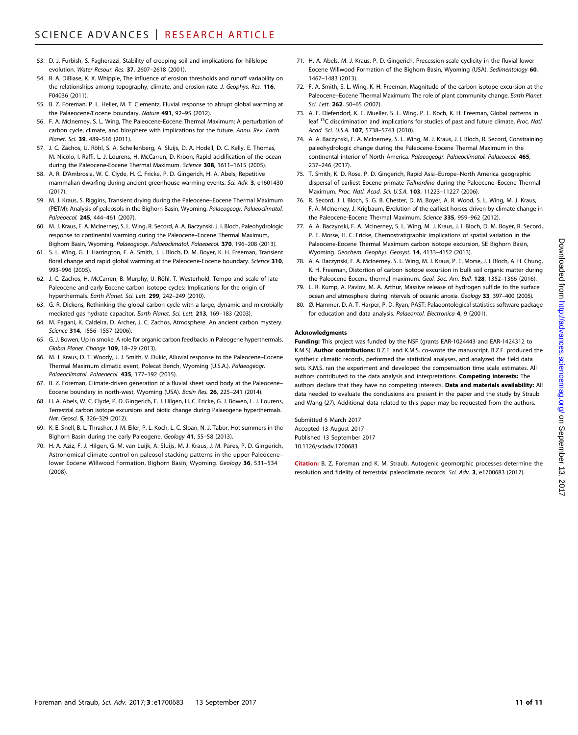- 53. D. J. Furbish, S. Fagherazzi, Stability of creeping soil and implications for hillslope evolution. Water Resour. Res. 37, 2607–2618 (2001).
- 54. R. A. DiBiase, K. X. Whipple, The influence of erosion thresholds and runoff variability on the relationships among topography, climate, and erosion rate. J. Geophys. Res. 116, F04036 (2011).
- 55. B. Z. Foreman, P. L. Heller, M. T. Clementz, Fluvial response to abrupt global warming at the Palaeocene/Eocene boundary. Nature 491, 92-95 (2012).
- 56. F. A. McInerney, S. L. Wing, The Paleocene-Eocene Thermal Maximum: A perturbation of carbon cycle, climate, and biosphere with implications for the future. Annu. Rev. Earth Planet. Sci. 39, 489-516 (2011).
- 57. J. C. Zachos, U. Röhl, S. A. Schellenberg, A. Sluijs, D. A. Hodell, D. C. Kelly, E. Thomas, M. Nicolo, I. Raffi, L. J. Lourens, H. McCarren, D. Kroon, Rapid acidification of the ocean during the Paleocene-Eocene Thermal Maximum. Science 308, 1611-1615 (2005).
- 58. A. R. D'Ambrosia, W. C. Clyde, H. C. Fricke, P. D. Gingerich, H. A. Abels, Repetitive mammalian dwarfing during ancient greenhouse warming events. Sci. Adv. 3, e1601430 (2017).
- 59. M. J. Kraus, S. Riggins, Transient drying during the Paleocene–Eocene Thermal Maximum (PETM): Analysis of paleosols in the Bighorn Basin, Wyoming. Palaeogeogr. Palaeoclimatol. Palaeoecol. 245, 444–461 (2007).
- 60. M. J. Kraus, F. A. McInerney, S. L. Wing, R. Secord, A. A. Baczynski, J. I. Bloch, Paleohydrologic response to continental warming during the Paleocene–Eocene Thermal Maximum, Bighorn Basin, Wyoming. Palaeogeogr. Palaeoclimatol. Palaeoecol. 370, 196-208 (2013).
- 61. S. L. Wing, G. J. Harrington, F. A. Smith, J. I. Bloch, D. M. Boyer, K. H. Freeman, Transient floral change and rapid global warming at the Paleocene-Eocene boundary. Science 310, 993–996 (2005).
- 62. J. C. Zachos, H. McCarren, B. Murphy, U. Röhl, T. Westerhold, Tempo and scale of late Paleocene and early Eocene carbon isotope cycles: Implications for the origin of hyperthermals. Earth Planet. Sci. Lett. 299, 242–249 (2010).
- 63. G. R. Dickens, Rethinking the global carbon cycle with a large, dynamic and microbially mediated gas hydrate capacitor. Earth Planet. Sci. Lett. 213, 169-183 (2003).
- 64. M. Pagani, K. Caldeira, D. Archer, J. C. Zachos, Atmosphere. An ancient carbon mystery. Science 314, 1556–1557 (2006).
- 65. G. J. Bowen, Up in smoke: A role for organic carbon feedbacks in Paleogene hyperthermals. Global Planet. Change 109, 18–29 (2013).
- 66. M. J. Kraus, D. T. Woody, J. J. Smith, V. Dukic, Alluvial response to the Paleocene–Eocene Thermal Maximum climatic event, Polecat Bench, Wyoming (U.S.A.). Palaeogeogr. Palaeoclimatol. Palaeoecol. 435, 177-192 (2015).
- 67. B. Z. Foreman, Climate-driven generation of a fluvial sheet sand body at the Paleocene– Eocene boundary in north-west, Wyoming (USA). Basin Res. 26, 225–241 (2014).
- 68. H. A. Abels, W. C. Clyde, P. D. Gingerich, F. J. Hilgen, H. C. Fricke, G. J. Bowen, L. J. Lourens, Terrestrial carbon isotope excursions and biotic change during Palaeogene hyperthermals. Nat. Geosci. 5, 326–329 (2012).
- 69. K. E. Snell, B. L. Thrasher, J. M. Eiler, P. L. Koch, L. C. Sloan, N. J. Tabor, Hot summers in the Bighorn Basin during the early Paleogene. Geology 41, 55-58 (2013).
- 70. H. A. Aziz, F. J. Hilgen, G. M. van Luijk, A. Sluijs, M. J. Kraus, J. M. Pares, P. D. Gingerich, Astronomical climate control on paleosol stacking patterns in the upper Paleocene– lower Eocene Willwood Formation, Bighorn Basin, Wyoming. Geology 36, 531-534 (2008).
- 71. H. A. Abels, M. J. Kraus, P. D. Gingerich, Precession-scale cyclicity in the fluvial lower Eocene Willwood Formation of the Bighorn Basin, Wyoming (USA). Sedimentology 60, 1467–1483 (2013).
- 72. F. A. Smith, S. L. Wing, K. H. Freeman, Magnitude of the carbon isotope excursion at the Paleocene–Eocene Thermal Maximum: The role of plant community change. Earth Planet. Sci. Lett. 262, 50-65 (2007).
- 73. A. F. Diefendorf, K. E. Mueller, S. L. Wing, P. L. Koch, K. H. Freeman, Global patterns in leaf <sup>13</sup>C discrimination and implications for studies of past and future climate. Proc. Natl. Acad. Sci. U.S.A. 107, 5738–5743 (2010).
- 74. A. A. Baczynski, F. A. McInerney, S. L. Wing, M. J. Kraus, J. I. Bloch, R. Secord, Constraining paleohydrologic change during the Paleocene-Eocene Thermal Maximum in the continental interior of North America. Palaeogeogr. Palaeoclimatol. Palaeoecol. 465, 237–246 (2017).
- 75. T. Smith, K. D. Rose, P. D. Gingerich, Rapid Asia–Europe–North America geographic dispersal of earliest Eocene primate Teilhardina during the Paleocene–Eocene Thermal Maximum. Proc. Natl. Acad. Sci. U.S.A. 103, 11223–11227 (2006).
- 76. R. Secord, J. I. Bloch, S. G. B. Chester, D. M. Boyer, A. R. Wood, S. L. Wing, M. J. Kraus, F. A. McInerney, J. Krigbaum, Evolution of the earliest horses driven by climate change in the Paleocene-Eocene Thermal Maximum. Science 335, 959–962 (2012).
- 77. A. A. Baczynski, F. A. McInerney, S. L. Wing, M. J. Kraus, J. I. Bloch, D. M. Boyer, R. Secord, P. E. Morse, H. C. Fricke, Chemostratigraphic implications of spatial variation in the Paleocene-Eocene Thermal Maximum carbon isotope excursion, SE Bighorn Basin, Wyoming. Geochem. Geophys. Geosyst. 14, 4133–4152 (2013).
- 78. A. A. Baczynski, F. A. McInerney, S. L. Wing, M. J. Kraus, P. E. Morse, J. I. Bloch, A. H. Chung, K. H. Freeman, Distortion of carbon isotope excursion in bulk soil organic matter during the Paleocene-Eocene thermal maximum. Geol. Soc. Am. Bull. 128, 1352–1366 (2016).
- 79. L. R. Kump, A. Pavlov, M. A. Arthur, Massive release of hydrogen sulfide to the surface ocean and atmosphere during intervals of oceanic anoxia. Geology 33, 397–400 (2005).
- 80. Ø. Hammer, D. A. T. Harper, P. D. Ryan, PAST: Palaeontological statistics software package for education and data analysis. Palaeontol. Electronica 4, 9 (2001).

#### Acknowledgments

Funding: This project was funded by the NSF (grants EAR-1024443 and EAR-1424312 to K.M.S). Author contributions: B.Z.F. and K.M.S. co-wrote the manuscript. B.Z.F. produced the synthetic climatic records, performed the statistical analyses, and analyzed the field data sets. K.M.S. ran the experiment and developed the compensation time scale estimates. All authors contributed to the data analysis and interpretations. Competing interests: The authors declare that they have no competing interests. Data and materials availability: All data needed to evaluate the conclusions are present in the paper and the study by Straub and Wang (27). Additional data related to this paper may be requested from the authors.

Submitted 6 March 2017 Accepted 13 August 2017 Published 13 September 2017 10.1126/sciadv.1700683

Citation: B. Z. Foreman and K. M. Straub, Autogenic geomorphic processes determine the resolution and fidelity of terrestrial paleoclimate records. Sci. Adv. 3, e1700683 (2017).